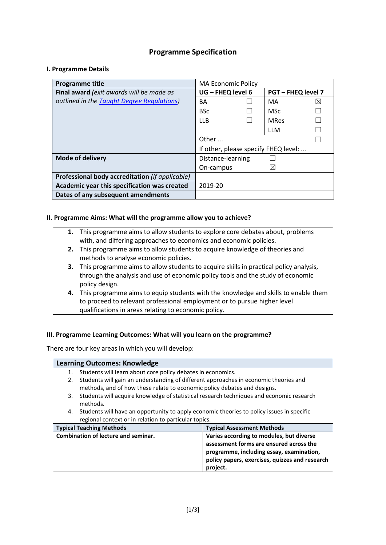# **Programme Specification**

### **I. Programme Details**

| <b>Programme title</b>                          | <b>MA Economic Policy</b>                    |  |             |           |
|-------------------------------------------------|----------------------------------------------|--|-------------|-----------|
| Final award (exit awards will be made as        | UG - FHEQ level 6<br><b>PGT-FHEQ level 7</b> |  |             |           |
| outlined in the Taught Degree Regulations)      | BA                                           |  | MA          | $\bowtie$ |
|                                                 | <b>BSc</b>                                   |  | <b>MSc</b>  |           |
|                                                 | LLB.                                         |  | <b>MRes</b> |           |
|                                                 |                                              |  | <b>LLM</b>  |           |
|                                                 | Other                                        |  |             |           |
|                                                 | If other, please specify FHEQ level:         |  |             |           |
| <b>Mode of delivery</b>                         | Distance-learning                            |  |             |           |
|                                                 | On-campus                                    |  | ⊠           |           |
| Professional body accreditation (if applicable) |                                              |  |             |           |
| Academic year this specification was created    | 2019-20                                      |  |             |           |
| Dates of any subsequent amendments              |                                              |  |             |           |

### **II. Programme Aims: What will the programme allow you to achieve?**

- **1.** This programme aims to allow students to explore core debates about, problems with, and differing approaches to economics and economic policies.
- **2.** This programme aims to allow students to acquire knowledge of theories and methods to analyse economic policies.
- **3.** This programme aims to allow students to acquire skills in practical policy analysis, through the analysis and use of economic policy tools and the study of economic policy design.
- **4.** This programme aims to equip students with the knowledge and skills to enable them to proceed to relevant professional employment or to pursue higher level qualifications in areas relating to economic policy.

## **III. Programme Learning Outcomes: What will you learn on the programme?**

There are four key areas in which you will develop:

|    | <b>Learning Outcomes: Knowledge</b>                                                            |                                                                                                                                                                                               |  |  |  |
|----|------------------------------------------------------------------------------------------------|-----------------------------------------------------------------------------------------------------------------------------------------------------------------------------------------------|--|--|--|
| 1. | Students will learn about core policy debates in economics.                                    |                                                                                                                                                                                               |  |  |  |
| 2. | Students will gain an understanding of different approaches in economic theories and           |                                                                                                                                                                                               |  |  |  |
|    | methods, and of how these relate to economic policy debates and designs.                       |                                                                                                                                                                                               |  |  |  |
|    | Students will acquire knowledge of statistical research techniques and economic research<br>3. |                                                                                                                                                                                               |  |  |  |
|    | methods.                                                                                       |                                                                                                                                                                                               |  |  |  |
|    | 4. Students will have an opportunity to apply economic theories to policy issues in specific   |                                                                                                                                                                                               |  |  |  |
|    | regional context or in relation to particular topics.                                          |                                                                                                                                                                                               |  |  |  |
|    | <b>Typical Teaching Methods</b>                                                                | <b>Typical Assessment Methods</b>                                                                                                                                                             |  |  |  |
|    | <b>Combination of lecture and seminar.</b>                                                     | Varies according to modules, but diverse<br>assessment forms are ensured across the<br>programme, including essay, examination,<br>policy papers, exercises, quizzes and research<br>project. |  |  |  |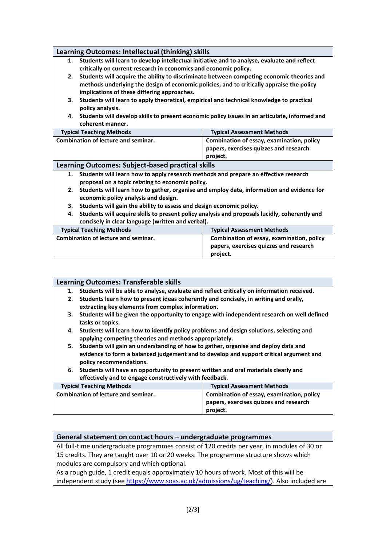| Learning Outcomes: Intellectual (thinking) skills                                                   |                                                                                                |  |  |  |  |  |
|-----------------------------------------------------------------------------------------------------|------------------------------------------------------------------------------------------------|--|--|--|--|--|
|                                                                                                     | 1. Students will learn to develop intellectual initiative and to analyse, evaluate and reflect |  |  |  |  |  |
|                                                                                                     | critically on current research in economics and economic policy.                               |  |  |  |  |  |
| 2.                                                                                                  | Students will acquire the ability to discriminate between competing economic theories and      |  |  |  |  |  |
|                                                                                                     | methods underlying the design of economic policies, and to critically appraise the policy      |  |  |  |  |  |
|                                                                                                     | implications of these differing approaches.                                                    |  |  |  |  |  |
| З.                                                                                                  | Students will learn to apply theoretical, empirical and technical knowledge to practical       |  |  |  |  |  |
|                                                                                                     | policy analysis.                                                                               |  |  |  |  |  |
| 4. Students will develop skills to present economic policy issues in an articulate, informed and    |                                                                                                |  |  |  |  |  |
| coherent manner.                                                                                    |                                                                                                |  |  |  |  |  |
| <b>Typical Teaching Methods</b>                                                                     | <b>Typical Assessment Methods</b>                                                              |  |  |  |  |  |
| <b>Combination of lecture and seminar.</b>                                                          | Combination of essay, examination, policy                                                      |  |  |  |  |  |
|                                                                                                     | papers, exercises quizzes and research                                                         |  |  |  |  |  |
|                                                                                                     | project.                                                                                       |  |  |  |  |  |
| Learning Outcomes: Subject-based practical skills                                                   |                                                                                                |  |  |  |  |  |
| Students will learn how to apply research methods and prepare an effective research<br>1.           |                                                                                                |  |  |  |  |  |
| proposal on a topic relating to economic policy.                                                    |                                                                                                |  |  |  |  |  |
| Students will learn how to gather, organise and employ data, information and evidence for<br>2.     |                                                                                                |  |  |  |  |  |
| economic policy analysis and design.                                                                |                                                                                                |  |  |  |  |  |
| Students will gain the ability to assess and design economic policy.<br>3.                          |                                                                                                |  |  |  |  |  |
| Students will acquire skills to present policy analysis and proposals lucidly, coherently and<br>4. |                                                                                                |  |  |  |  |  |
| concisely in clear language (written and verbal).                                                   |                                                                                                |  |  |  |  |  |
| <b>Typical Teaching Methods</b>                                                                     | <b>Typical Assessment Methods</b>                                                              |  |  |  |  |  |
| <b>Combination of lecture and seminar.</b>                                                          | Combination of essay, examination, policy                                                      |  |  |  |  |  |
|                                                                                                     | papers, exercises quizzes and research                                                         |  |  |  |  |  |
|                                                                                                     | project.                                                                                       |  |  |  |  |  |

**1. Students will be able to analyse, evaluate and reflect critically on information received.**

- **2. Students learn how to present ideas coherently and concisely, in writing and orally, extracting key elements from complex information.**
- **3. Students will be given the opportunity to engage with independent research on well defined tasks or topics.**
- **4. Students will learn how to identify policy problems and design solutions, selecting and applying competing theories and methods appropriately.**
- **5. Students will gain an understanding of how to gather, organise and deploy data and evidence to form a balanced judgement and to develop and support critical argument and policy recommendations.**
- **6. Students will have an opportunity to present written and oral materials clearly and effectively and to engage constructively with feedback.**

| <b>Typical Teaching Methods</b>            | <b>Typical Assessment Methods</b>         |
|--------------------------------------------|-------------------------------------------|
| <b>Combination of lecture and seminar.</b> | Combination of essay, examination, policy |
|                                            | papers, exercises quizzes and research    |
|                                            | project.                                  |

#### **General statement on contact hours – undergraduate programmes**

All full-time undergraduate programmes consist of 120 credits per year, in modules of 30 or 15 credits. They are taught over 10 or 20 weeks. The programme structure shows which modules are compulsory and which optional.

As a rough guide, 1 credit equals approximately 10 hours of work. Most of this will be independent study (see [https://www.soas.ac.uk/admissions/ug/teaching/\)](https://www.soas.ac.uk/admissions/ug/teaching/). Also included are